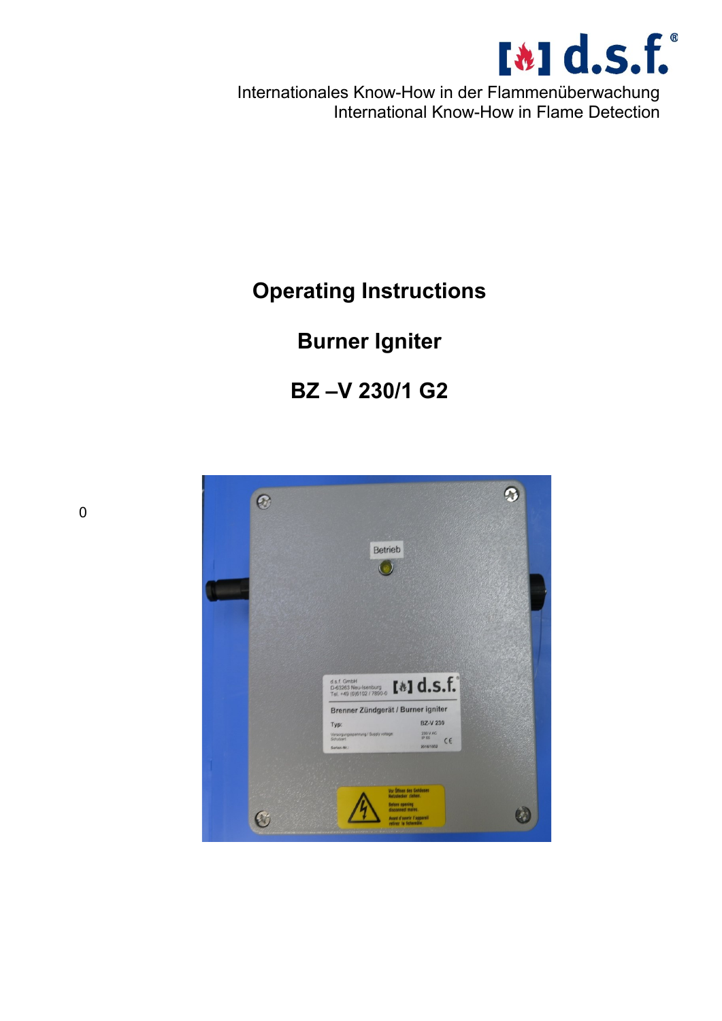

Internationales Know-How in der Flammenüberwachung International Know-How in Flame Detection

# **Operating Instructions**

## **Burner Igniter**

## **BZ –V 230/1 G2**



0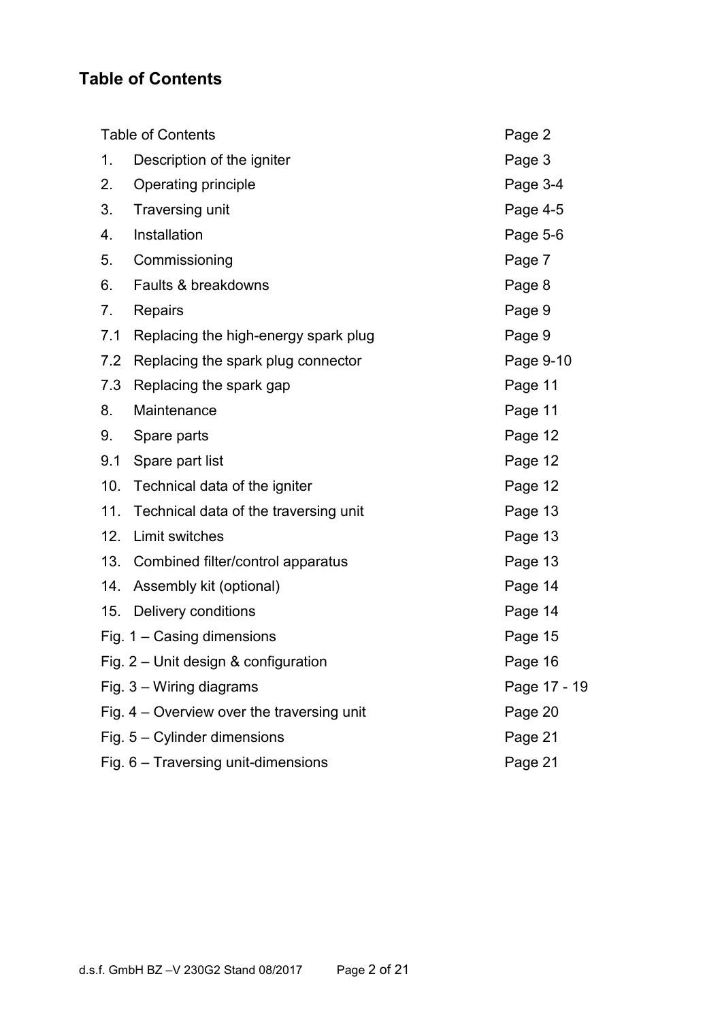#### **Table of Contents**

| <b>Table of Contents</b> |                                            | Page 2       |
|--------------------------|--------------------------------------------|--------------|
| 1.                       | Description of the igniter                 | Page 3       |
| 2.                       | Operating principle                        | Page 3-4     |
| 3.                       | Traversing unit                            | Page 4-5     |
| 4.                       | Installation                               | Page 5-6     |
| 5.                       | Commissioning                              | Page 7       |
| 6.                       | Faults & breakdowns                        | Page 8       |
| 7.                       | Repairs                                    | Page 9       |
| 7.1                      | Replacing the high-energy spark plug       | Page 9       |
| 7.2                      | Replacing the spark plug connector         | Page 9-10    |
| 7.3                      | Replacing the spark gap                    | Page 11      |
| 8.                       | Maintenance                                | Page 11      |
| 9.                       | Spare parts                                | Page 12      |
| 9.1                      | Spare part list                            | Page 12      |
| 10.                      | Technical data of the igniter              | Page 12      |
| $11.$                    | Technical data of the traversing unit      | Page 13      |
| 12.                      | Limit switches                             | Page 13      |
| 13.                      | Combined filter/control apparatus          | Page 13      |
| 14.                      | Assembly kit (optional)                    | Page 14      |
| 15.                      | Delivery conditions                        | Page 14      |
|                          | Fig. $1 -$ Casing dimensions               | Page 15      |
|                          | Fig. $2$ – Unit design & configuration     | Page 16      |
|                          | Fig. $3 - W$ iring diagrams                | Page 17 - 19 |
|                          | Fig. 4 - Overview over the traversing unit | Page 20      |
|                          | Fig. $5 -$ Cylinder dimensions             | Page 21      |
|                          | Fig. 6 - Traversing unit-dimensions        | Page 21      |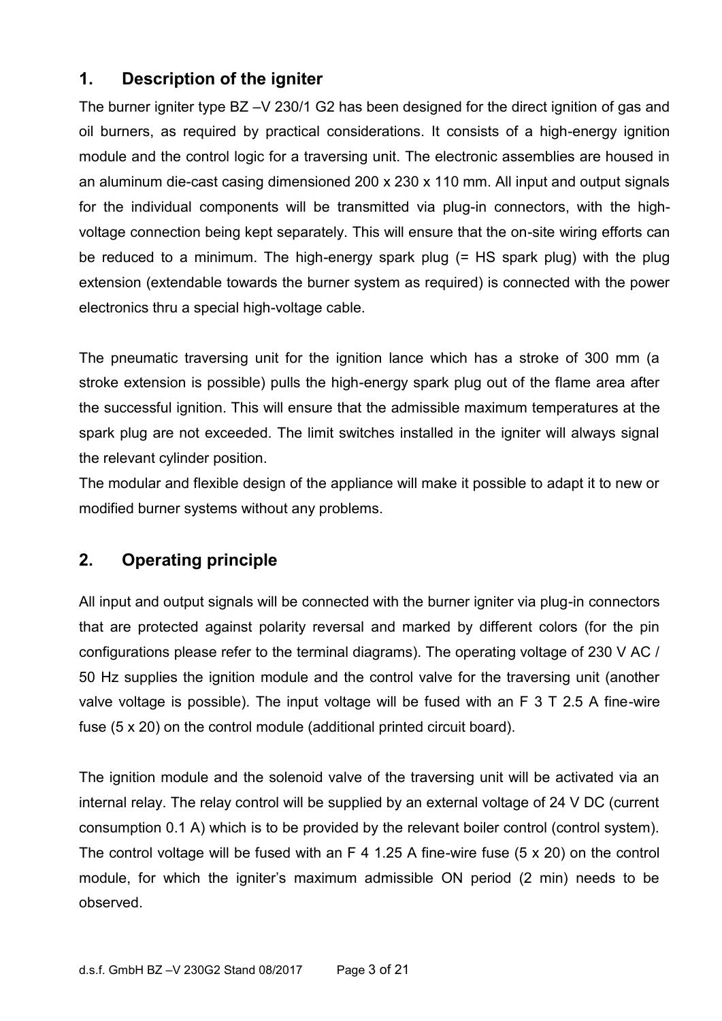#### **1. Description of the igniter**

The burner igniter type BZ –V 230/1 G2 has been designed for the direct ignition of gas and oil burners, as required by practical considerations. It consists of a high-energy ignition module and the control logic for a traversing unit. The electronic assemblies are housed in an aluminum die-cast casing dimensioned 200 x 230 x 110 mm. All input and output signals for the individual components will be transmitted via plug-in connectors, with the highvoltage connection being kept separately. This will ensure that the on-site wiring efforts can be reduced to a minimum. The high-energy spark plug (= HS spark plug) with the plug extension (extendable towards the burner system as required) is connected with the power electronics thru a special high-voltage cable.

The pneumatic traversing unit for the ignition lance which has a stroke of 300 mm (a stroke extension is possible) pulls the high-energy spark plug out of the flame area after the successful ignition. This will ensure that the admissible maximum temperatures at the spark plug are not exceeded. The limit switches installed in the igniter will always signal the relevant cylinder position.

The modular and flexible design of the appliance will make it possible to adapt it to new or modified burner systems without any problems.

### **2. Operating principle**

All input and output signals will be connected with the burner igniter via plug-in connectors that are protected against polarity reversal and marked by different colors (for the pin configurations please refer to the terminal diagrams). The operating voltage of 230 V AC / 50 Hz supplies the ignition module and the control valve for the traversing unit (another valve voltage is possible). The input voltage will be fused with an F 3 T 2.5 A fine-wire fuse (5 x 20) on the control module (additional printed circuit board).

The ignition module and the solenoid valve of the traversing unit will be activated via an internal relay. The relay control will be supplied by an external voltage of 24 V DC (current consumption 0.1 A) which is to be provided by the relevant boiler control (control system). The control voltage will be fused with an F 4 1.25 A fine-wire fuse (5 x 20) on the control module, for which the igniter's maximum admissible ON period (2 min) needs to be observed.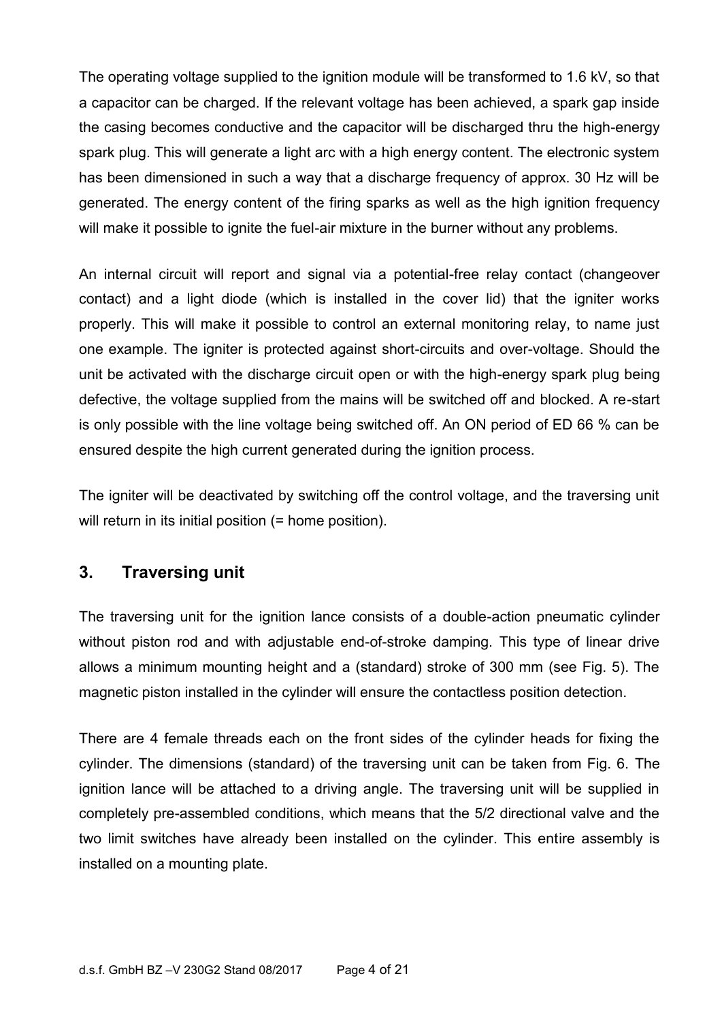The operating voltage supplied to the ignition module will be transformed to 1.6 kV, so that a capacitor can be charged. If the relevant voltage has been achieved, a spark gap inside the casing becomes conductive and the capacitor will be discharged thru the high-energy spark plug. This will generate a light arc with a high energy content. The electronic system has been dimensioned in such a way that a discharge frequency of approx. 30 Hz will be generated. The energy content of the firing sparks as well as the high ignition frequency will make it possible to ignite the fuel-air mixture in the burner without any problems.

An internal circuit will report and signal via a potential-free relay contact (changeover contact) and a light diode (which is installed in the cover lid) that the igniter works properly. This will make it possible to control an external monitoring relay, to name just one example. The igniter is protected against short-circuits and over-voltage. Should the unit be activated with the discharge circuit open or with the high-energy spark plug being defective, the voltage supplied from the mains will be switched off and blocked. A re-start is only possible with the line voltage being switched off. An ON period of ED 66 % can be ensured despite the high current generated during the ignition process.

The igniter will be deactivated by switching off the control voltage, and the traversing unit will return in its initial position (= home position).

#### **3. Traversing unit**

The traversing unit for the ignition lance consists of a double-action pneumatic cylinder without piston rod and with adjustable end-of-stroke damping. This type of linear drive allows a minimum mounting height and a (standard) stroke of 300 mm (see Fig. 5). The magnetic piston installed in the cylinder will ensure the contactless position detection.

There are 4 female threads each on the front sides of the cylinder heads for fixing the cylinder. The dimensions (standard) of the traversing unit can be taken from Fig. 6. The ignition lance will be attached to a driving angle. The traversing unit will be supplied in completely pre-assembled conditions, which means that the 5/2 directional valve and the two limit switches have already been installed on the cylinder. This entire assembly is installed on a mounting plate.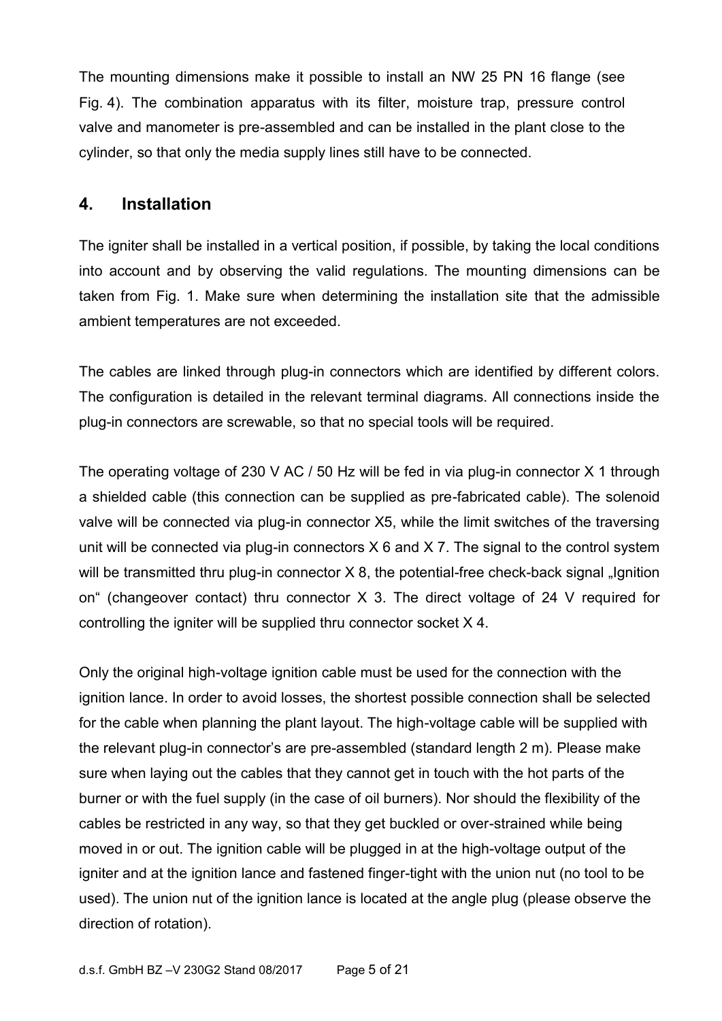The mounting dimensions make it possible to install an NW 25 PN 16 flange (see Fig. 4). The combination apparatus with its filter, moisture trap, pressure control valve and manometer is pre-assembled and can be installed in the plant close to the cylinder, so that only the media supply lines still have to be connected.

#### **4. Installation**

The igniter shall be installed in a vertical position, if possible, by taking the local conditions into account and by observing the valid regulations. The mounting dimensions can be taken from Fig. 1. Make sure when determining the installation site that the admissible ambient temperatures are not exceeded.

The cables are linked through plug-in connectors which are identified by different colors. The configuration is detailed in the relevant terminal diagrams. All connections inside the plug-in connectors are screwable, so that no special tools will be required.

The operating voltage of 230 V AC / 50 Hz will be fed in via plug-in connector X 1 through a shielded cable (this connection can be supplied as pre-fabricated cable). The solenoid valve will be connected via plug-in connector X5, while the limit switches of the traversing unit will be connected via plug-in connectors X 6 and X 7. The signal to the control system will be transmitted thru plug-in connector  $X$  8, the potential-free check-back signal "Ignition on" (changeover contact) thru connector X 3. The direct voltage of 24 V required for controlling the igniter will be supplied thru connector socket X 4.

Only the original high-voltage ignition cable must be used for the connection with the ignition lance. In order to avoid losses, the shortest possible connection shall be selected for the cable when planning the plant layout. The high-voltage cable will be supplied with the relevant plug-in connector's are pre-assembled (standard length 2 m). Please make sure when laying out the cables that they cannot get in touch with the hot parts of the burner or with the fuel supply (in the case of oil burners). Nor should the flexibility of the cables be restricted in any way, so that they get buckled or over-strained while being moved in or out. The ignition cable will be plugged in at the high-voltage output of the igniter and at the ignition lance and fastened finger-tight with the union nut (no tool to be used). The union nut of the ignition lance is located at the angle plug (please observe the direction of rotation).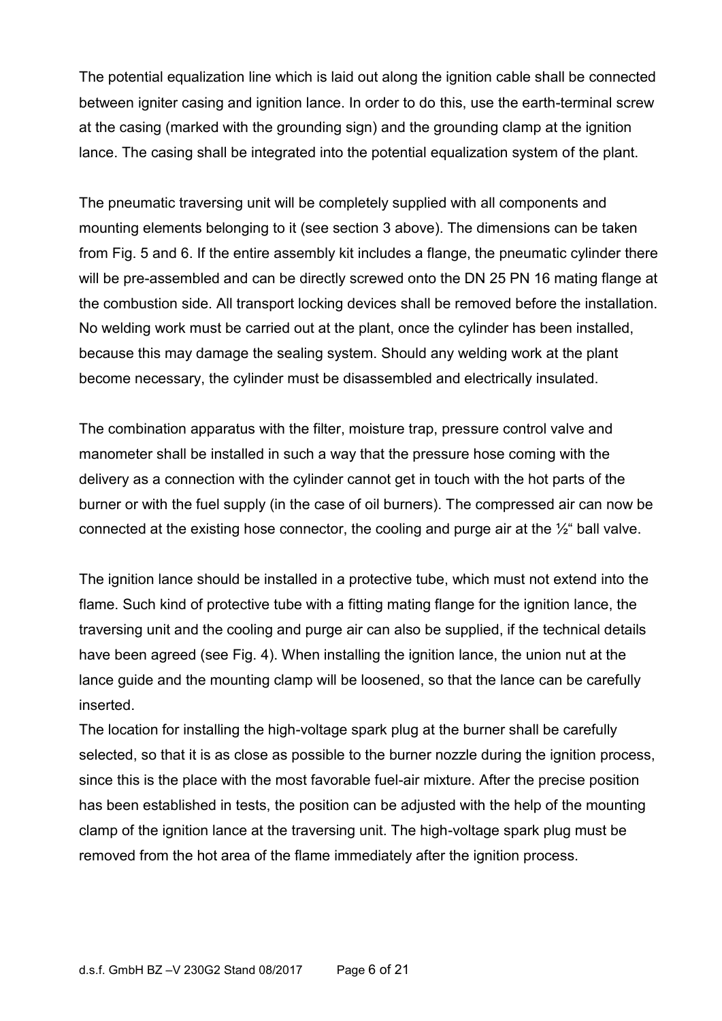The potential equalization line which is laid out along the ignition cable shall be connected between igniter casing and ignition lance. In order to do this, use the earth-terminal screw at the casing (marked with the grounding sign) and the grounding clamp at the ignition lance. The casing shall be integrated into the potential equalization system of the plant.

The pneumatic traversing unit will be completely supplied with all components and mounting elements belonging to it (see section 3 above). The dimensions can be taken from Fig. 5 and 6. If the entire assembly kit includes a flange, the pneumatic cylinder there will be pre-assembled and can be directly screwed onto the DN 25 PN 16 mating flange at the combustion side. All transport locking devices shall be removed before the installation. No welding work must be carried out at the plant, once the cylinder has been installed, because this may damage the sealing system. Should any welding work at the plant become necessary, the cylinder must be disassembled and electrically insulated.

The combination apparatus with the filter, moisture trap, pressure control valve and manometer shall be installed in such a way that the pressure hose coming with the delivery as a connection with the cylinder cannot get in touch with the hot parts of the burner or with the fuel supply (in the case of oil burners). The compressed air can now be connected at the existing hose connector, the cooling and purge air at the  $\frac{1}{2}$  ball valve.

The ignition lance should be installed in a protective tube, which must not extend into the flame. Such kind of protective tube with a fitting mating flange for the ignition lance, the traversing unit and the cooling and purge air can also be supplied, if the technical details have been agreed (see Fig. 4). When installing the ignition lance, the union nut at the lance guide and the mounting clamp will be loosened, so that the lance can be carefully inserted.

The location for installing the high-voltage spark plug at the burner shall be carefully selected, so that it is as close as possible to the burner nozzle during the ignition process, since this is the place with the most favorable fuel-air mixture. After the precise position has been established in tests, the position can be adjusted with the help of the mounting clamp of the ignition lance at the traversing unit. The high-voltage spark plug must be removed from the hot area of the flame immediately after the ignition process.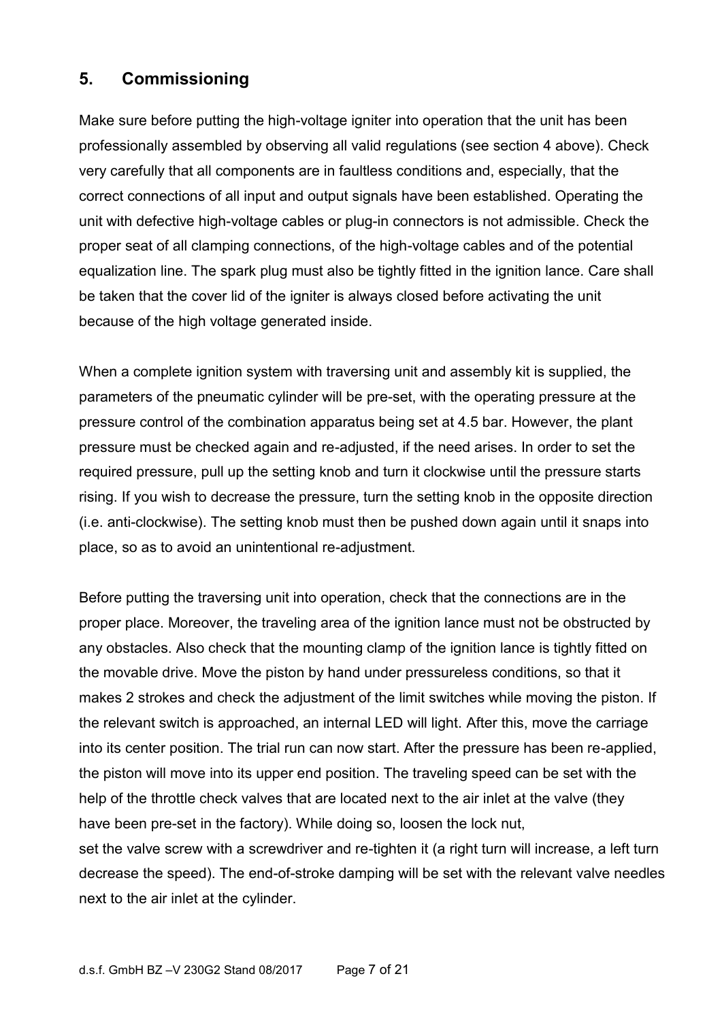#### **5. Commissioning**

Make sure before putting the high-voltage igniter into operation that the unit has been professionally assembled by observing all valid regulations (see section 4 above). Check very carefully that all components are in faultless conditions and, especially, that the correct connections of all input and output signals have been established. Operating the unit with defective high-voltage cables or plug-in connectors is not admissible. Check the proper seat of all clamping connections, of the high-voltage cables and of the potential equalization line. The spark plug must also be tightly fitted in the ignition lance. Care shall be taken that the cover lid of the igniter is always closed before activating the unit because of the high voltage generated inside.

When a complete ignition system with traversing unit and assembly kit is supplied, the parameters of the pneumatic cylinder will be pre-set, with the operating pressure at the pressure control of the combination apparatus being set at 4.5 bar. However, the plant pressure must be checked again and re-adjusted, if the need arises. In order to set the required pressure, pull up the setting knob and turn it clockwise until the pressure starts rising. If you wish to decrease the pressure, turn the setting knob in the opposite direction (i.e. anti-clockwise). The setting knob must then be pushed down again until it snaps into place, so as to avoid an unintentional re-adjustment.

Before putting the traversing unit into operation, check that the connections are in the proper place. Moreover, the traveling area of the ignition lance must not be obstructed by any obstacles. Also check that the mounting clamp of the ignition lance is tightly fitted on the movable drive. Move the piston by hand under pressureless conditions, so that it makes 2 strokes and check the adjustment of the limit switches while moving the piston. If the relevant switch is approached, an internal LED will light. After this, move the carriage into its center position. The trial run can now start. After the pressure has been re-applied, the piston will move into its upper end position. The traveling speed can be set with the help of the throttle check valves that are located next to the air inlet at the valve (they have been pre-set in the factory). While doing so, loosen the lock nut, set the valve screw with a screwdriver and re-tighten it (a right turn will increase, a left turn decrease the speed). The end-of-stroke damping will be set with the relevant valve needles next to the air inlet at the cylinder.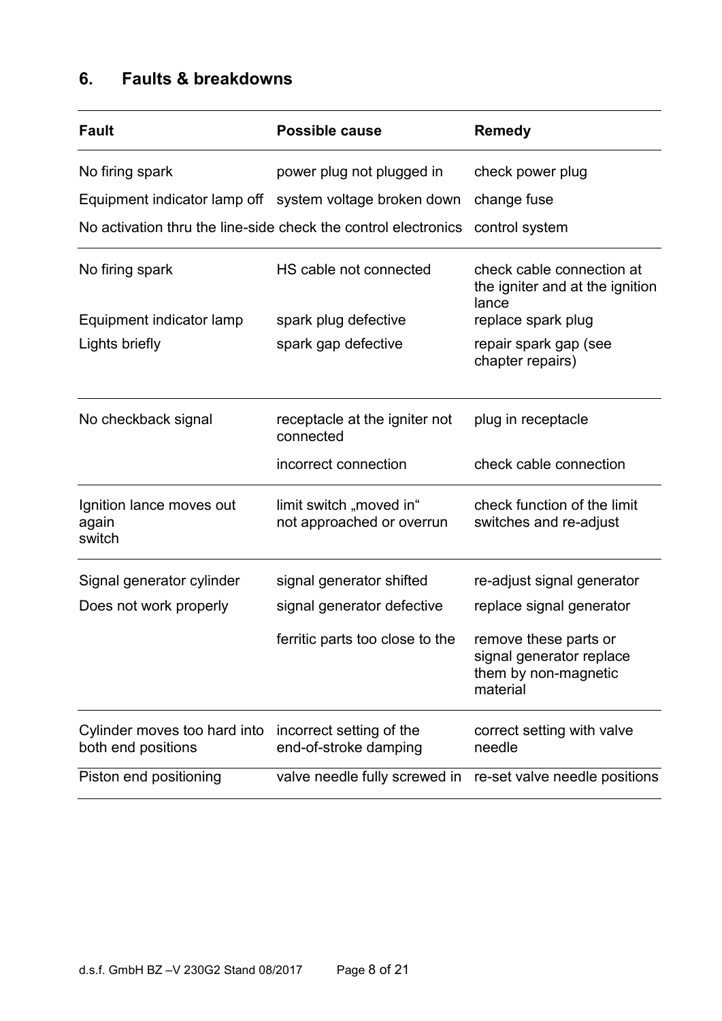### **6. Faults & breakdowns**

| <b>Fault</b>                                       | <b>Possible cause</b>                                          | <b>Remedy</b>                                                                         |
|----------------------------------------------------|----------------------------------------------------------------|---------------------------------------------------------------------------------------|
| No firing spark                                    | power plug not plugged in                                      | check power plug                                                                      |
|                                                    | Equipment indicator lamp off system voltage broken down        | change fuse                                                                           |
|                                                    | No activation thru the line-side check the control electronics | control system                                                                        |
| No firing spark                                    | HS cable not connected                                         | check cable connection at<br>the igniter and at the ignition<br>lance                 |
| Equipment indicator lamp                           | spark plug defective                                           | replace spark plug                                                                    |
| Lights briefly                                     | spark gap defective                                            | repair spark gap (see<br>chapter repairs)                                             |
| No checkback signal                                | receptacle at the igniter not<br>connected                     | plug in receptacle                                                                    |
|                                                    | incorrect connection                                           | check cable connection                                                                |
| Ignition lance moves out<br>again<br>switch        | limit switch "moved in"<br>not approached or overrun           | check function of the limit<br>switches and re-adjust                                 |
| Signal generator cylinder                          | signal generator shifted                                       | re-adjust signal generator                                                            |
| Does not work properly                             | signal generator defective                                     | replace signal generator                                                              |
|                                                    | ferritic parts too close to the                                | remove these parts or<br>signal generator replace<br>them by non-magnetic<br>material |
| Cylinder moves too hard into<br>both end positions | incorrect setting of the<br>end-of-stroke damping              | correct setting with valve<br>needle                                                  |
| Piston end positioning                             | valve needle fully screwed in                                  | re-set valve needle positions                                                         |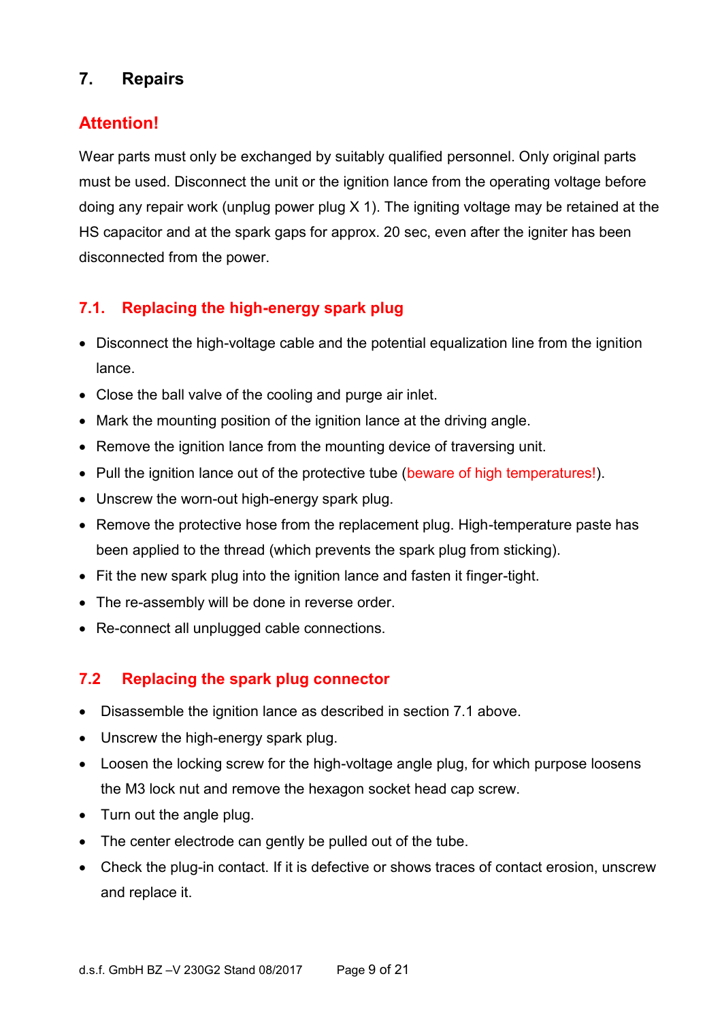### **7. Repairs**

### **Attention!**

Wear parts must only be exchanged by suitably qualified personnel. Only original parts must be used. Disconnect the unit or the ignition lance from the operating voltage before doing any repair work (unplug power plug X 1). The igniting voltage may be retained at the HS capacitor and at the spark gaps for approx. 20 sec, even after the igniter has been disconnected from the power.

### **7.1. Replacing the high-energy spark plug**

- Disconnect the high-voltage cable and the potential equalization line from the ignition lance.
- Close the ball valve of the cooling and purge air inlet.
- Mark the mounting position of the ignition lance at the driving angle.
- Remove the ignition lance from the mounting device of traversing unit.
- Pull the ignition lance out of the protective tube (beware of high temperatures!).
- Unscrew the worn-out high-energy spark plug.
- Remove the protective hose from the replacement plug. High-temperature paste has been applied to the thread (which prevents the spark plug from sticking).
- Fit the new spark plug into the ignition lance and fasten it finger-tight.
- The re-assembly will be done in reverse order.
- Re-connect all unplugged cable connections.

#### **7.2 Replacing the spark plug connector**

- Disassemble the ignition lance as described in section 7.1 above.
- Unscrew the high-energy spark plug.
- Loosen the locking screw for the high-voltage angle plug, for which purpose loosens the M3 lock nut and remove the hexagon socket head cap screw.
- Turn out the angle plug.
- The center electrode can gently be pulled out of the tube.
- Check the plug-in contact. If it is defective or shows traces of contact erosion, unscrew and replace it.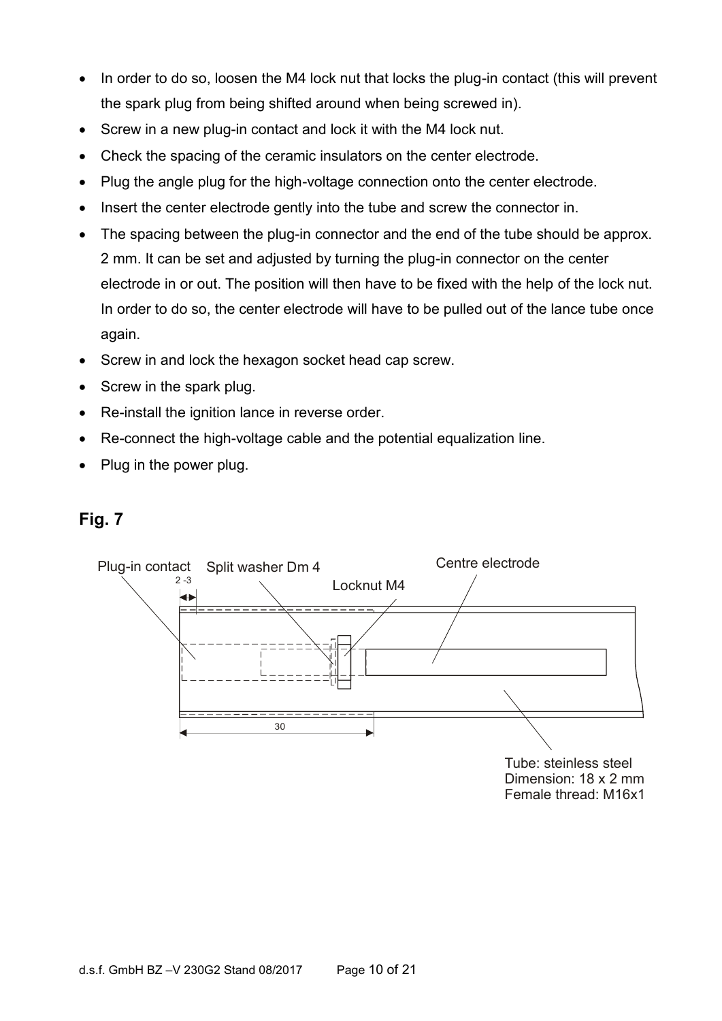- In order to do so, loosen the M4 lock nut that locks the plug-in contact (this will prevent the spark plug from being shifted around when being screwed in).
- Screw in a new plug-in contact and lock it with the M4 lock nut.
- Check the spacing of the ceramic insulators on the center electrode.
- Plug the angle plug for the high-voltage connection onto the center electrode.
- Insert the center electrode gently into the tube and screw the connector in.
- The spacing between the plug-in connector and the end of the tube should be approx. 2 mm. It can be set and adjusted by turning the plug-in connector on the center electrode in or out. The position will then have to be fixed with the help of the lock nut. In order to do so, the center electrode will have to be pulled out of the lance tube once again.
- Screw in and lock the hexagon socket head cap screw.
- Screw in the spark plug.
- Re-install the ignition lance in reverse order.
- Re-connect the high-voltage cable and the potential equalization line.
- Plug in the power plug.

#### **Fig. 7**

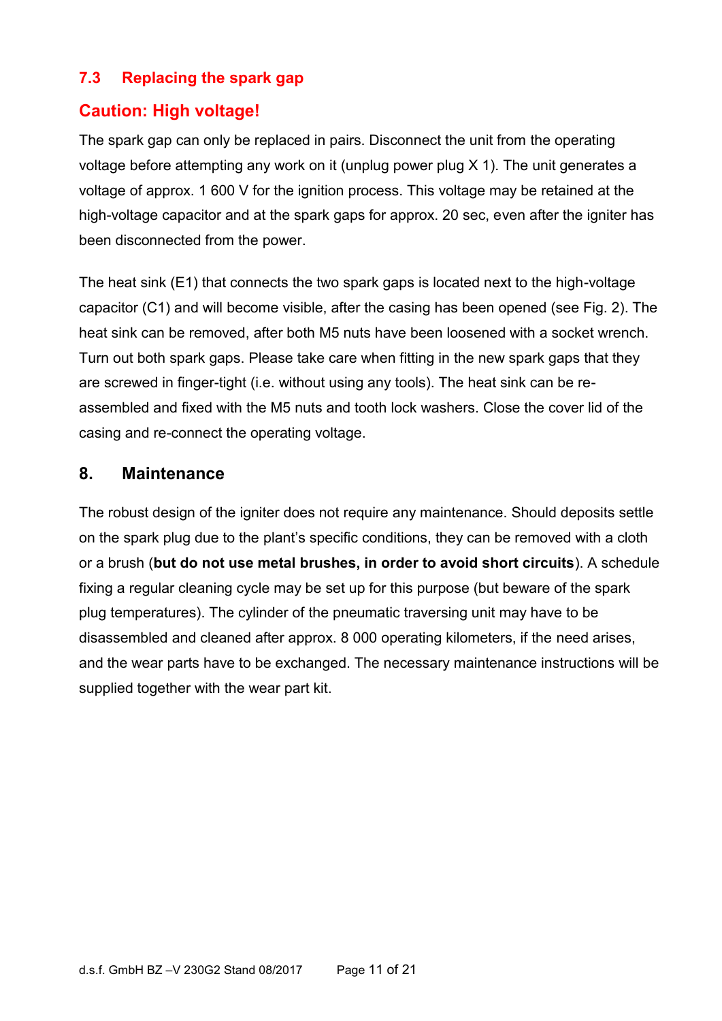#### **7.3 Replacing the spark gap**

#### **Caution: High voltage!**

The spark gap can only be replaced in pairs. Disconnect the unit from the operating voltage before attempting any work on it (unplug power plug X 1). The unit generates a voltage of approx. 1 600 V for the ignition process. This voltage may be retained at the high-voltage capacitor and at the spark gaps for approx. 20 sec, even after the igniter has been disconnected from the power.

The heat sink (E1) that connects the two spark gaps is located next to the high-voltage capacitor (C1) and will become visible, after the casing has been opened (see Fig. 2). The heat sink can be removed, after both M5 nuts have been loosened with a socket wrench. Turn out both spark gaps. Please take care when fitting in the new spark gaps that they are screwed in finger-tight (i.e. without using any tools). The heat sink can be reassembled and fixed with the M5 nuts and tooth lock washers. Close the cover lid of the casing and re-connect the operating voltage.

#### **8. Maintenance**

The robust design of the igniter does not require any maintenance. Should deposits settle on the spark plug due to the plant's specific conditions, they can be removed with a cloth or a brush (**but do not use metal brushes, in order to avoid short circuits**). A schedule fixing a regular cleaning cycle may be set up for this purpose (but beware of the spark plug temperatures). The cylinder of the pneumatic traversing unit may have to be disassembled and cleaned after approx. 8 000 operating kilometers, if the need arises, and the wear parts have to be exchanged. The necessary maintenance instructions will be supplied together with the wear part kit.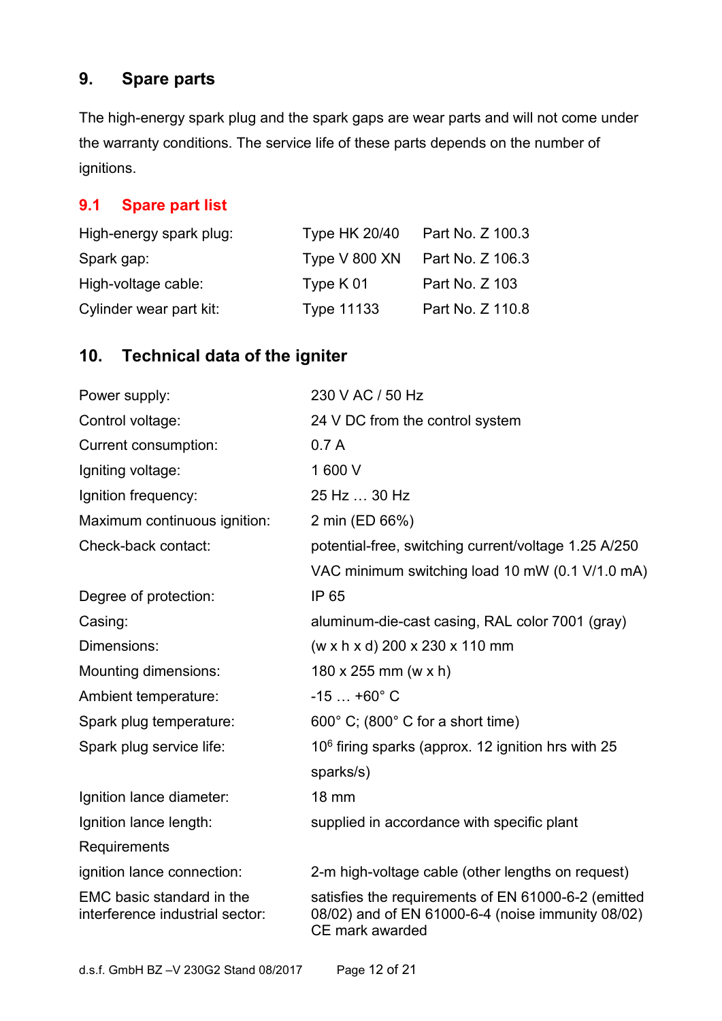### **9. Spare parts**

The high-energy spark plug and the spark gaps are wear parts and will not come under the warranty conditions. The service life of these parts depends on the number of ignitions.

#### **9.1 Spare part list**

| High-energy spark plug: | <b>Type HK 20/40</b> | Part No. Z 100.3 |
|-------------------------|----------------------|------------------|
| Spark gap:              | Type V 800 XN        | Part No. Z 106.3 |
| High-voltage cable:     | Type $K01$           | Part No. Z 103   |
| Cylinder wear part kit: | <b>Type 11133</b>    | Part No. Z 110.8 |

### **10. Technical data of the igniter**

| Power supply:                                                | 230 V AC / 50 Hz                                                                                                            |  |
|--------------------------------------------------------------|-----------------------------------------------------------------------------------------------------------------------------|--|
| Control voltage:                                             | 24 V DC from the control system                                                                                             |  |
| Current consumption:                                         | 0.7A                                                                                                                        |  |
| Igniting voltage:                                            | 1600V                                                                                                                       |  |
| Ignition frequency:                                          | 25 Hz  30 Hz                                                                                                                |  |
| Maximum continuous ignition:                                 | 2 min (ED 66%)                                                                                                              |  |
| Check-back contact:                                          | potential-free, switching current/voltage 1.25 A/250                                                                        |  |
|                                                              | VAC minimum switching load 10 mW (0.1 V/1.0 mA)                                                                             |  |
| Degree of protection:                                        | IP 65                                                                                                                       |  |
| Casing:                                                      | aluminum-die-cast casing, RAL color 7001 (gray)                                                                             |  |
| Dimensions:                                                  | (w x h x d) 200 x 230 x 110 mm                                                                                              |  |
| Mounting dimensions:                                         | $180 \times 255$ mm (w x h)                                                                                                 |  |
| Ambient temperature:                                         | $-15+60^{\circ}$ C                                                                                                          |  |
| Spark plug temperature:                                      | 600° C; (800° C for a short time)                                                                                           |  |
| Spark plug service life:                                     | $106$ firing sparks (approx. 12 ignition hrs with 25                                                                        |  |
|                                                              | sparks/s)                                                                                                                   |  |
| Ignition lance diameter:                                     | <b>18 mm</b>                                                                                                                |  |
| Ignition lance length:                                       | supplied in accordance with specific plant                                                                                  |  |
| Requirements                                                 |                                                                                                                             |  |
| ignition lance connection:                                   | 2-m high-voltage cable (other lengths on request)                                                                           |  |
| EMC basic standard in the<br>interference industrial sector: | satisfies the requirements of EN 61000-6-2 (emitted<br>08/02) and of EN 61000-6-4 (noise immunity 08/02)<br>CE mark awarded |  |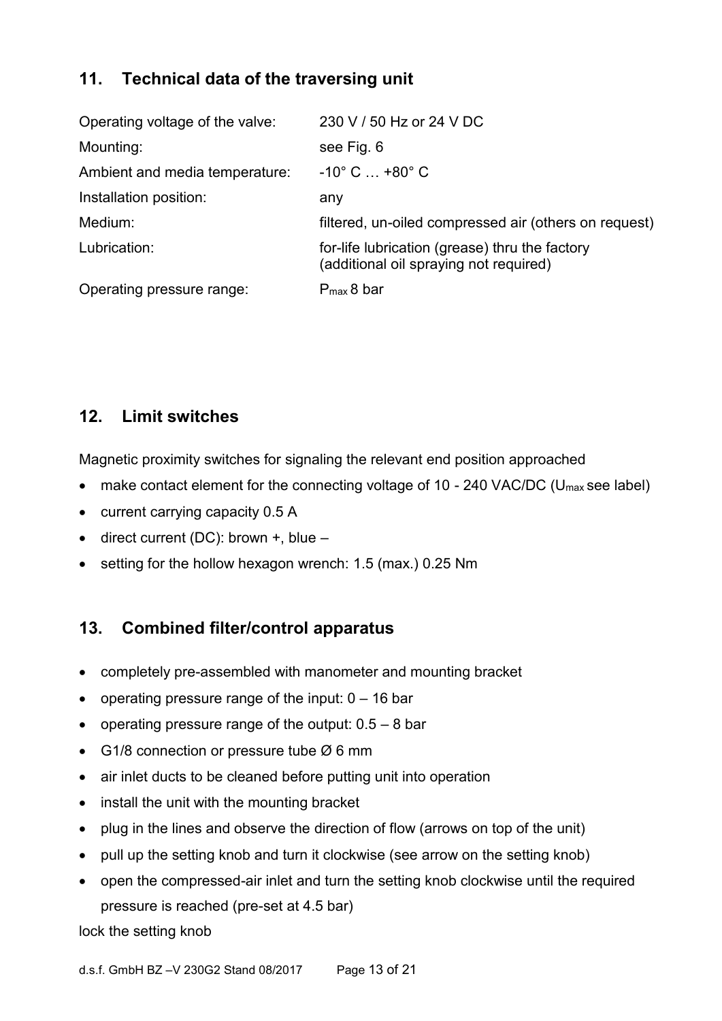### **11. Technical data of the traversing unit**

| Operating voltage of the valve: | 230 V / 50 Hz or 24 V DC                                                                 |  |
|---------------------------------|------------------------------------------------------------------------------------------|--|
| Mounting:                       | see Fig. 6                                                                               |  |
| Ambient and media temperature:  | $-10^{\circ}$ C $$ +80 $^{\circ}$ C                                                      |  |
| Installation position:          | any                                                                                      |  |
| Medium:                         | filtered, un-oiled compressed air (others on request)                                    |  |
| Lubrication:                    | for-life lubrication (grease) thru the factory<br>(additional oil spraying not required) |  |
| Operating pressure range:       | $P_{max}$ 8 bar                                                                          |  |

### **12. Limit switches**

Magnetic proximity switches for signaling the relevant end position approached

- make contact element for the connecting voltage of 10 240 VAC/DC (U<sub>max</sub> see label)
- current carrying capacity 0.5 A
- direct current (DC): brown  $+$ , blue  $-$
- setting for the hollow hexagon wrench: 1.5 (max.) 0.25 Nm

### **13. Combined filter/control apparatus**

- completely pre-assembled with manometer and mounting bracket
- operating pressure range of the input:  $0 16$  bar
- operating pressure range of the output:  $0.5 8$  bar
- G1/8 connection or pressure tube  $\varnothing$  6 mm
- air inlet ducts to be cleaned before putting unit into operation
- install the unit with the mounting bracket
- plug in the lines and observe the direction of flow (arrows on top of the unit)
- pull up the setting knob and turn it clockwise (see arrow on the setting knob)
- open the compressed-air inlet and turn the setting knob clockwise until the required pressure is reached (pre-set at 4.5 bar)

lock the setting knob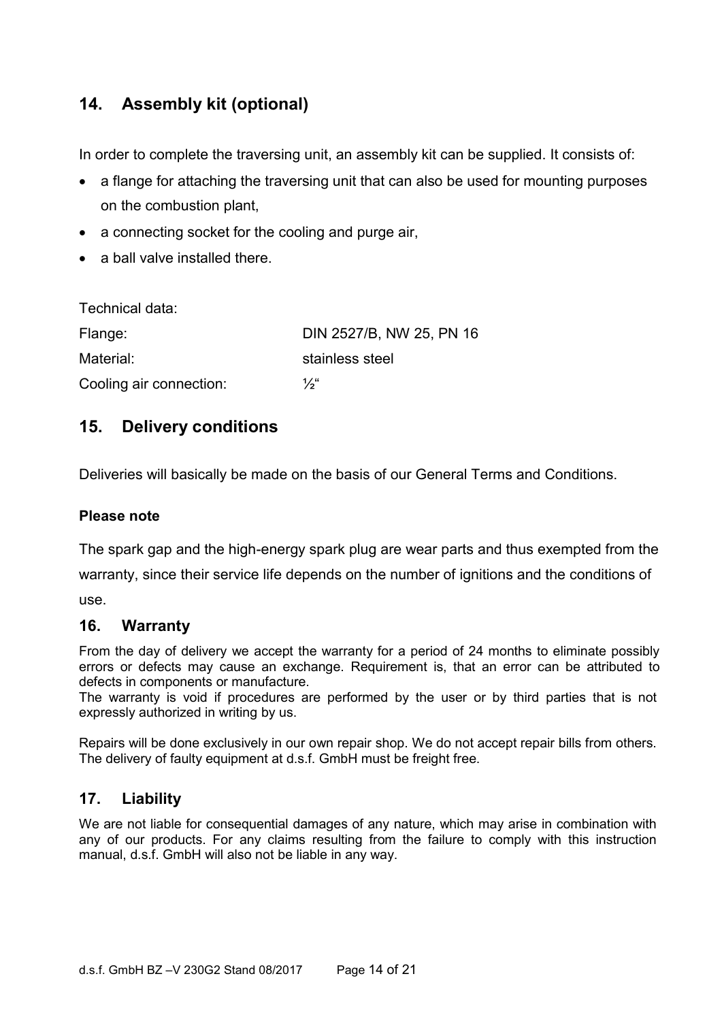### **14. Assembly kit (optional)**

In order to complete the traversing unit, an assembly kit can be supplied. It consists of:

- a flange for attaching the traversing unit that can also be used for mounting purposes on the combustion plant,
- a connecting socket for the cooling and purge air,
- a ball valve installed there.

| Technical data:         |                          |
|-------------------------|--------------------------|
| Flange:                 | DIN 2527/B, NW 25, PN 16 |
| Material:               | stainless steel          |
| Cooling air connection: | $\frac{1}{2}$            |

#### **15. Delivery conditions**

Deliveries will basically be made on the basis of our General Terms and Conditions.

#### **Please note**

The spark gap and the high-energy spark plug are wear parts and thus exempted from the

warranty, since their service life depends on the number of ignitions and the conditions of use.

#### **16. Warranty**

From the day of delivery we accept the warranty for a period of 24 months to eliminate possibly errors or defects may cause an exchange. Requirement is, that an error can be attributed to defects in components or manufacture.

The warranty is void if procedures are performed by the user or by third parties that is not expressly authorized in writing by us.

Repairs will be done exclusively in our own repair shop. We do not accept repair bills from others. The delivery of faulty equipment at d.s.f. GmbH must be freight free.

#### **17. Liability**

We are not liable for consequential damages of any nature, which may arise in combination with any of our products. For any claims resulting from the failure to comply with this instruction manual, d.s.f. GmbH will also not be liable in any way.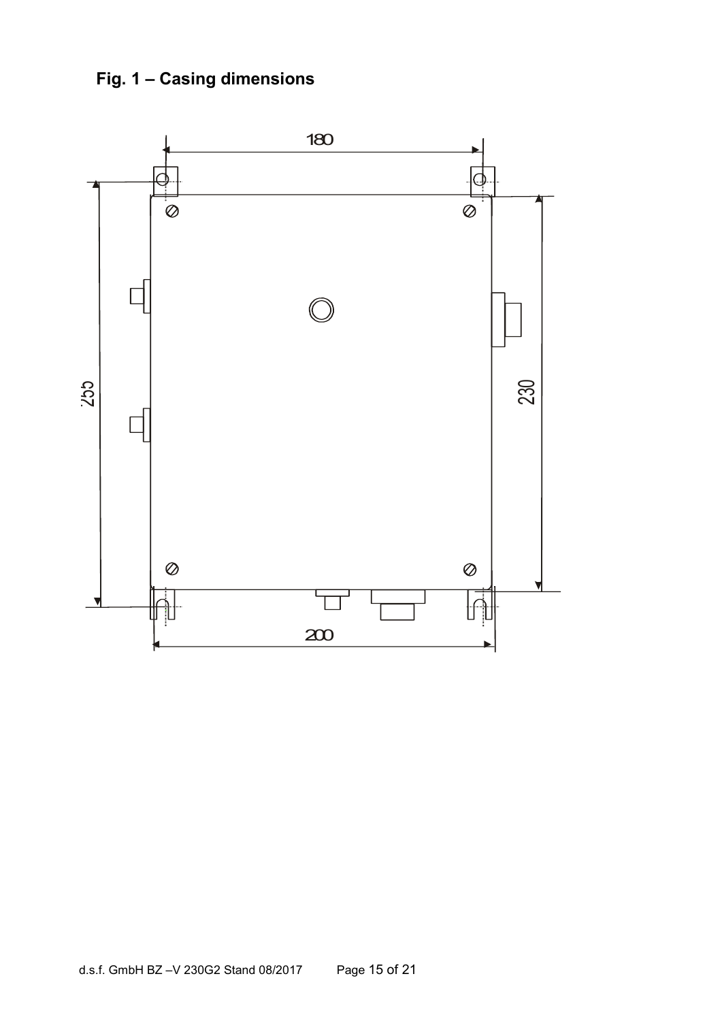**Fig. 1 – Casing dimensions**

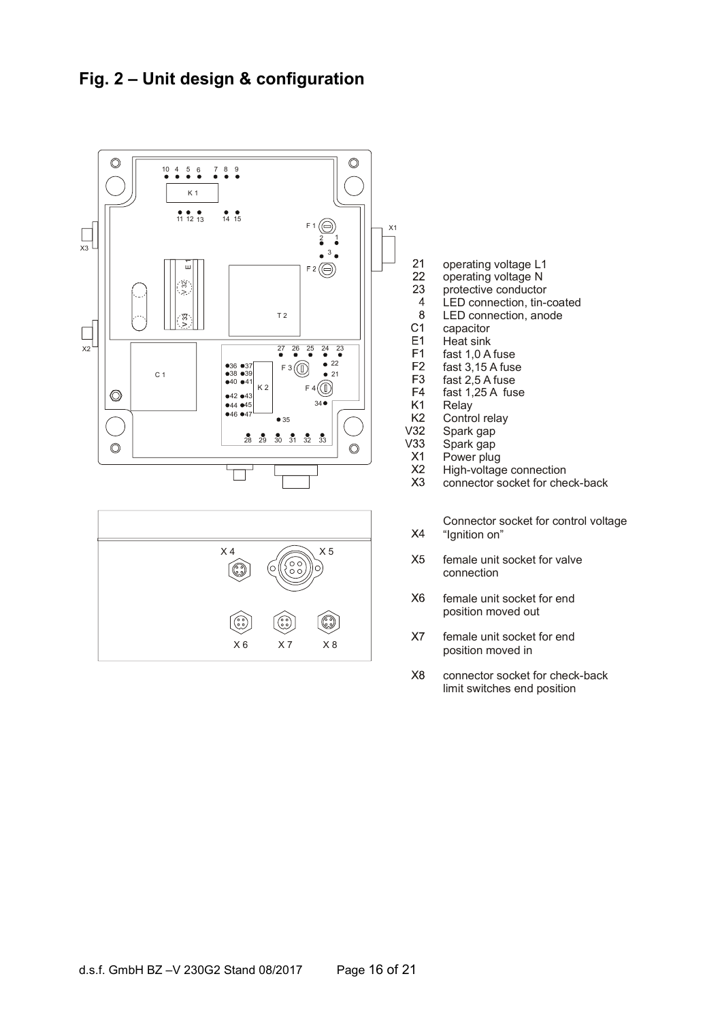### **Fig. 2 – Unit design & configuration**



X 6 X 7 X 8

- operating voltage L1
- operating voltage N
- protective conductor
- LED connection, tin-coated
- LED connection, anode capacitor
- Heat sink
- fast 1,0 A fuse
- fast 3,15 A fuse
- fast 2,5 A fuse
- fast  $1,25$  A fuse
- Relay
- Control relay
- Spark gap
- Spark gap
- Power plug
- High-voltage connection
- connector socket for check-back
	- Connector socket for control voltage "Ignition on"
- female unit socket for valve connection
- female unit socket for end position moved out
- X7 female unit socket for end position moved in
- $X8$ connector socket for check-back limit switches end position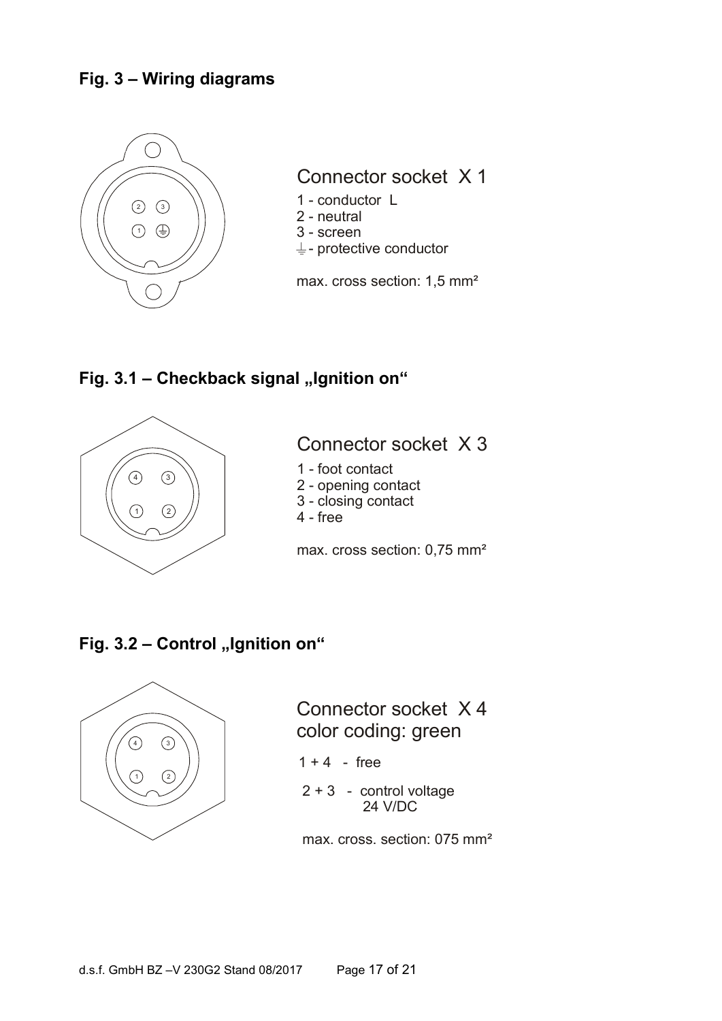### **Fig. 3 – Wiring diagrams**



#### **Fig. 3.1 - Checkback signal "Ignition on"**



### Connector socket X 3

- 1 foot contact
- 2 opening contact
- 3 closing contact
- 4 free

max. cross section: 0,75 mm²

### **Fig. 3.2 - Control "Ignition on"**



Connector socket X 4  $\textcolor{blue}{\text{color coding: green}}$ 

- $1 + 4$  free
- 2 + 3 control voltage 24 V/DC

max. cross. section: 075 mm²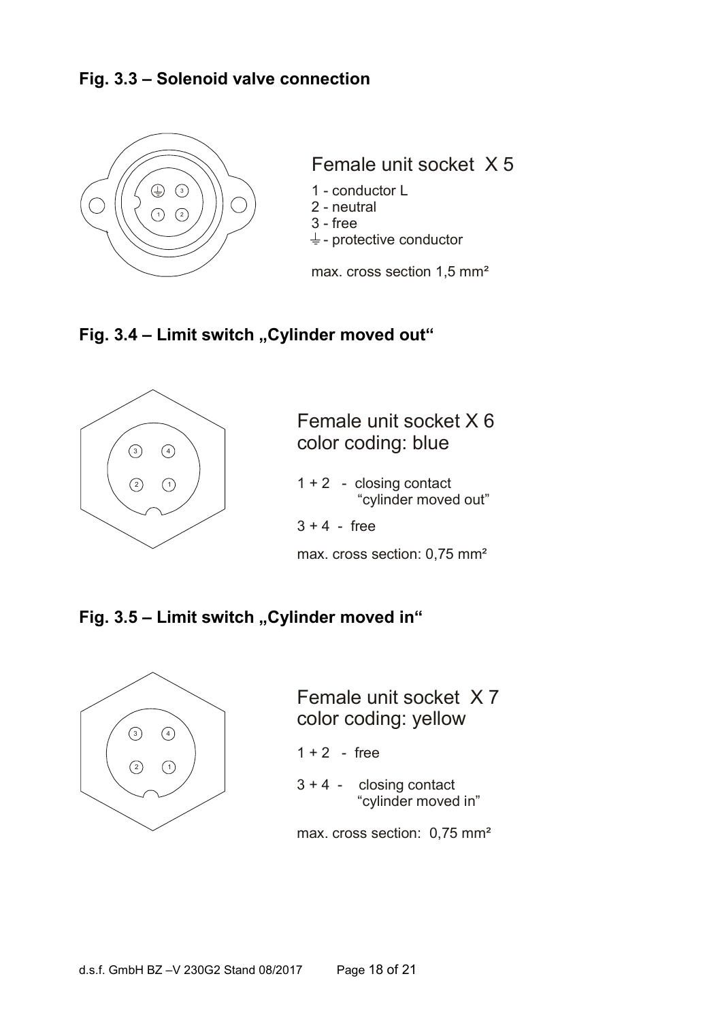#### **Fig. 3.3 – Solenoid valve connection**



Female unit socket X 5

- 
- 2 neutral
- 3 free
- $\frac{1}{2}$  protective conductor

max. cross section 1,5 mm<sup>2</sup>

#### **Fig. 3.4 - Limit switch "Cylinder moved out"**



Female unit socket X 6 color coding: blue

- 1 + 2 closing contact "cylinder moved out"
- $3 + 4$  free

max. cross section: 0,75 mm²

#### **Fig. 3.5 - Limit switch "Cylinder moved in"**



Female unit socket X 7 color coding: yellow

- $1 + 2$  free
- 3 + 4 closing contact "cylinder moved in"

max. cross section: 0,75 mm²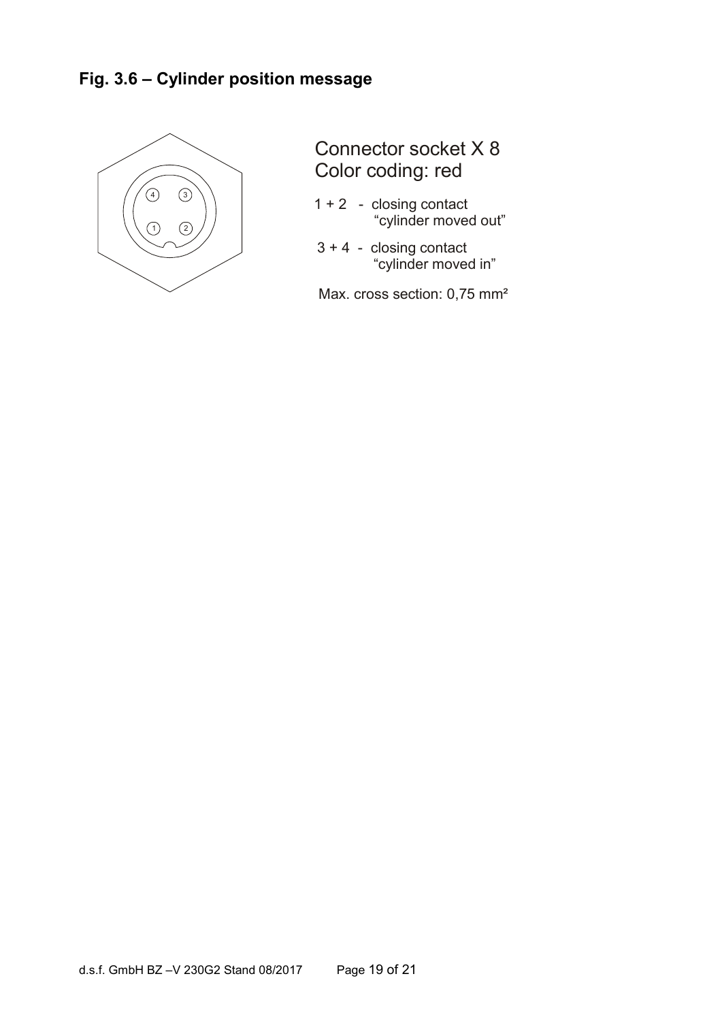

Connector socket X 8 Color coding: red

- 1 + 2 closing contact "cylinder moved out"
- 3 + 4 closing contact "cylinder moved in"

Max. cross section: 0,75 mm<sup>2</sup>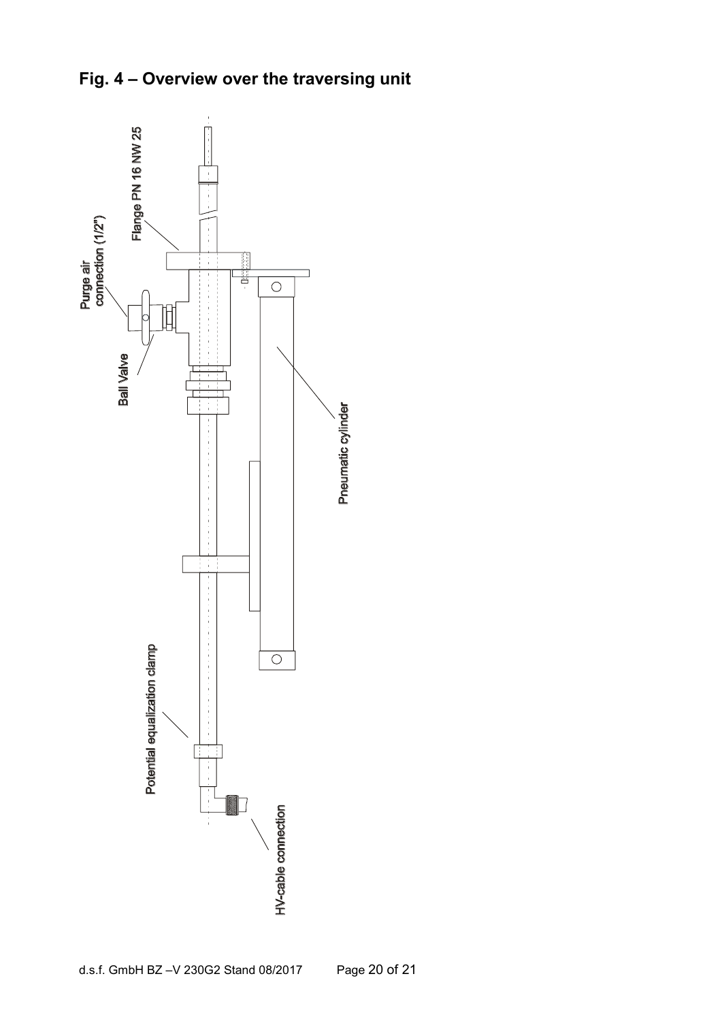

## **Fig. 4 – Overview over the traversing unit**